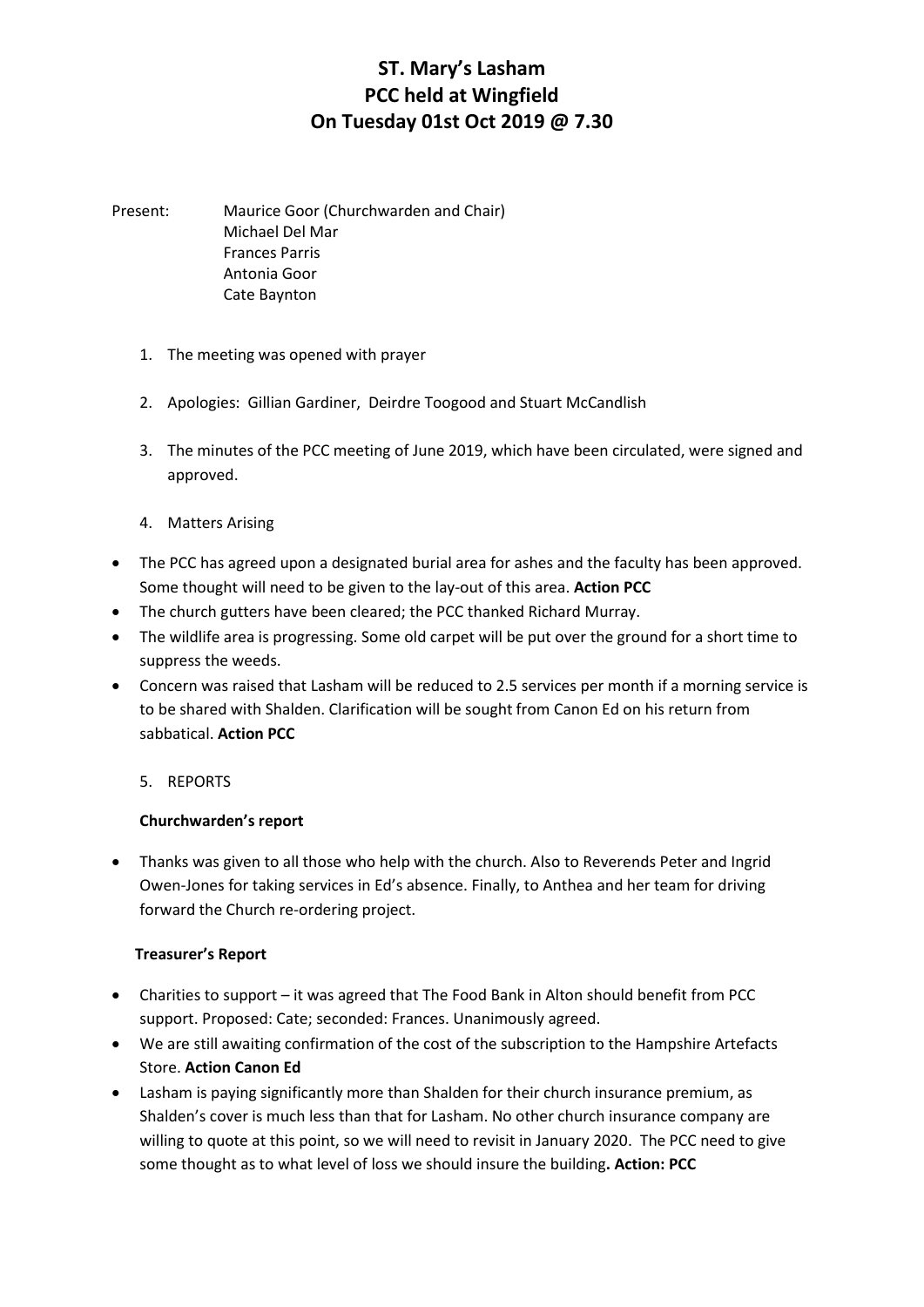# **ST. Mary's Lasham PCC held at Wingfield On Tuesday 01st Oct 2019 @ 7.30**

Present: Maurice Goor (Churchwarden and Chair) Michael Del Mar Frances Parris Antonia Goor Cate Baynton

- 1. The meeting was opened with prayer
- 2. Apologies: Gillian Gardiner, Deirdre Toogood and Stuart McCandlish
- 3. The minutes of the PCC meeting of June 2019, which have been circulated, were signed and approved.
- 4. Matters Arising
- The PCC has agreed upon a designated burial area for ashes and the faculty has been approved. Some thought will need to be given to the lay-out of this area. **Action PCC**
- The church gutters have been cleared; the PCC thanked Richard Murray.
- The wildlife area is progressing. Some old carpet will be put over the ground for a short time to suppress the weeds.
- Concern was raised that Lasham will be reduced to 2.5 services per month if a morning service is to be shared with Shalden. Clarification will be sought from Canon Ed on his return from sabbatical. **Action PCC**
	- 5. REPORTS

#### **Churchwarden's report**

 Thanks was given to all those who help with the church. Also to Reverends Peter and Ingrid Owen-Jones for taking services in Ed's absence. Finally, to Anthea and her team for driving forward the Church re-ordering project.

#### **Treasurer's Report**

- Charities to support it was agreed that The Food Bank in Alton should benefit from PCC support. Proposed: Cate; seconded: Frances. Unanimously agreed.
- We are still awaiting confirmation of the cost of the subscription to the Hampshire Artefacts Store. **Action Canon Ed**
- Lasham is paying significantly more than Shalden for their church insurance premium, as Shalden's cover is much less than that for Lasham. No other church insurance company are willing to quote at this point, so we will need to revisit in January 2020. The PCC need to give some thought as to what level of loss we should insure the building**. Action: PCC**